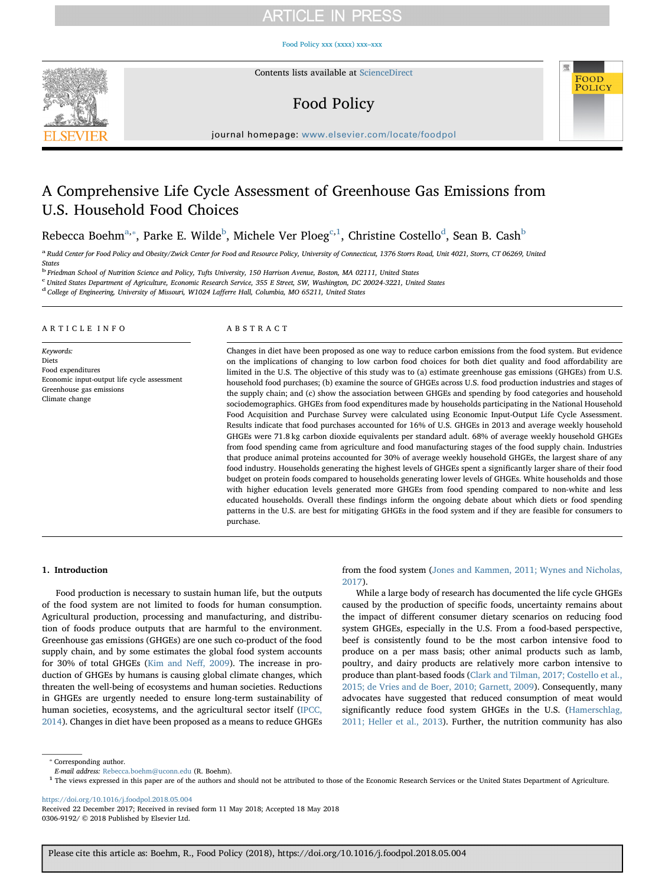#### Food Policy xxx (xxxx) xxx–xxx



Contents lists available at ScienceDirect

# Food Policy



journal homepage: www.elsevier.com/locate/foodpol

# A Comprehensive Life Cycle Assessment of Greenhouse Gas Emissions from U.S. Household Food Choices

Rebecca Boehm $^{\rm a, *},$  Parke E. Wilde $^{\rm b}$ , Michele Ver Ploeg $^{\rm c, 1}$ , Christine Costello $^{\rm d}$ , Sean B. Cash $^{\rm b}$ 

a Rudd Center for Food Policy and Obesity/Zwick Center for Food and Resource Policy, University of Connecticut, 1376 Storrs Road, Unit 4021, Storrs, CT 06269, United **States** 

<sup>b</sup> Friedman School of Nutrition Science and Policy, Tufts University, 150 Harrison Avenue, Boston, MA 02111, United States

c United States Department of Agriculture, Economic Research Service, 355 E Street, SW, Washington, DC 20024-3221, United States

<sup>d</sup> College of Engineering, University of Missouri, W1024 Lafferre Hall, Columbia, MO 65211, United States

#### ARTICLE INFO

Keywords: Diets Food expenditures Economic input-output life cycle assessment Greenhouse gas emissions Climate change

#### ABSTRACT

Changes in diet have been proposed as one way to reduce carbon emissions from the food system. But evidence on the implications of changing to low carbon food choices for both diet quality and food affordability are limited in the U.S. The objective of this study was to (a) estimate greenhouse gas emissions (GHGEs) from U.S. household food purchases; (b) examine the source of GHGEs across U.S. food production industries and stages of the supply chain; and (c) show the association between GHGEs and spending by food categories and household sociodemographics. GHGEs from food expenditures made by households participating in the National Household Food Acquisition and Purchase Survey were calculated using Economic Input-Output Life Cycle Assessment. Results indicate that food purchases accounted for 16% of U.S. GHGEs in 2013 and average weekly household GHGEs were 71.8 kg carbon dioxide equivalents per standard adult. 68% of average weekly household GHGEs from food spending came from agriculture and food manufacturing stages of the food supply chain. Industries that produce animal proteins accounted for 30% of average weekly household GHGEs, the largest share of any food industry. Households generating the highest levels of GHGEs spent a significantly larger share of their food budget on protein foods compared to households generating lower levels of GHGEs. White households and those with higher education levels generated more GHGEs from food spending compared to non-white and less educated households. Overall these findings inform the ongoing debate about which diets or food spending patterns in the U.S. are best for mitigating GHGEs in the food system and if they are feasible for consumers to purchase.

## 1. Introduction

Food production is necessary to sustain human life, but the outputs of the food system are not limited to foods for human consumption. Agricultural production, processing and manufacturing, and distribution of foods produce outputs that are harmful to the environment. Greenhouse gas emissions (GHGEs) are one such co-product of the food supply chain, and by some estimates the global food system accounts for 30% of total GHGEs (Kim and Neff, 2009). The increase in production of GHGEs by humans is causing global climate changes, which threaten the well-being of ecosystems and human societies. Reductions in GHGEs are urgently needed to ensure long-term sustainability of human societies, ecosystems, and the agricultural sector itself (IPCC, 2014). Changes in diet have been proposed as a means to reduce GHGEs from the food system (Jones and Kammen, 2011; Wynes and Nicholas, 2017).

While a large body of research has documented the life cycle GHGEs caused by the production of specific foods, uncertainty remains about the impact of different consumer dietary scenarios on reducing food system GHGEs, especially in the U.S. From a food-based perspective, beef is consistently found to be the most carbon intensive food to produce on a per mass basis; other animal products such as lamb, poultry, and dairy products are relatively more carbon intensive to produce than plant-based foods (Clark and Tilman, 2017; Costello et al., 2015; de Vries and de Boer, 2010; Garnett, 2009). Consequently, many advocates have suggested that reduced consumption of meat would significantly reduce food system GHGEs in the U.S. (Hamerschlag, 2011; Heller et al., 2013). Further, the nutrition community has also

⁎ Corresponding author.

https://doi.org/10.1016/j.foodpol.2018.05.004

Received 22 December 2017; Received in revised form 11 May 2018; Accepted 18 May 2018 0306-9192/ © 2018 Published by Elsevier Ltd.

E-mail address: Rebecca.boehm@uconn.edu (R. Boehm).

<sup>&</sup>lt;sup>1</sup> The views expressed in this paper are of the authors and should not be attributed to those of the Economic Research Services or the United States Department of Agriculture.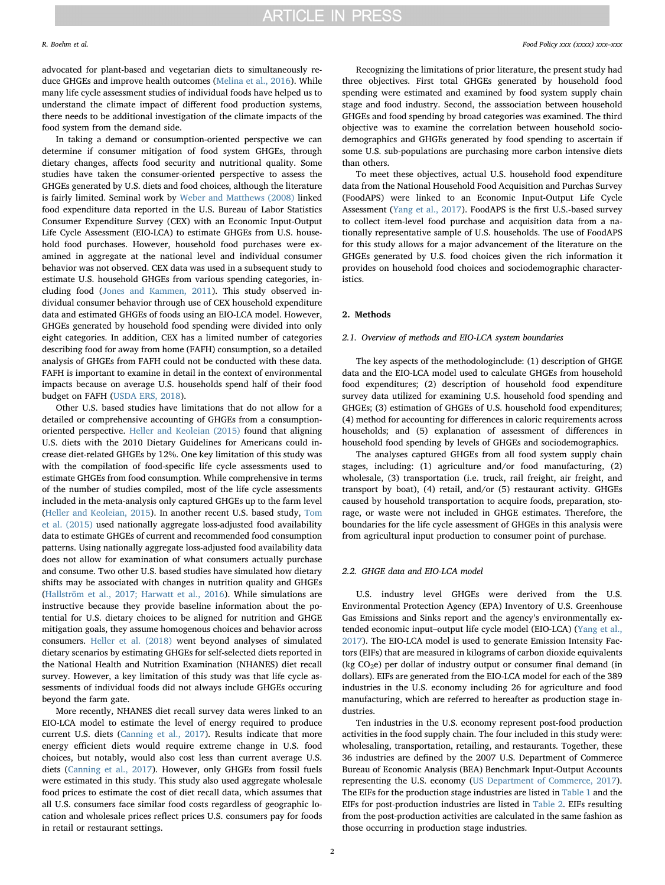advocated for plant-based and vegetarian diets to simultaneously reduce GHGEs and improve health outcomes (Melina et al., 2016). While many life cycle assessment studies of individual foods have helped us to understand the climate impact of different food production systems, there needs to be additional investigation of the climate impacts of the food system from the demand side.

In taking a demand or consumption-oriented perspective we can determine if consumer mitigation of food system GHGEs, through dietary changes, affects food security and nutritional quality. Some studies have taken the consumer-oriented perspective to assess the GHGEs generated by U.S. diets and food choices, although the literature is fairly limited. Seminal work by Weber and Matthews (2008) linked food expenditure data reported in the U.S. Bureau of Labor Statistics Consumer Expenditure Survey (CEX) with an Economic Input-Output Life Cycle Assessment (EIO-LCA) to estimate GHGEs from U.S. household food purchases. However, household food purchases were examined in aggregate at the national level and individual consumer behavior was not observed. CEX data was used in a subsequent study to estimate U.S. household GHGEs from various spending categories, including food (Jones and Kammen, 2011). This study observed individual consumer behavior through use of CEX household expenditure data and estimated GHGEs of foods using an EIO-LCA model. However, GHGEs generated by household food spending were divided into only eight categories. In addition, CEX has a limited number of categories describing food for away from home (FAFH) consumption, so a detailed analysis of GHGEs from FAFH could not be conducted with these data. FAFH is important to examine in detail in the context of environmental impacts because on average U.S. households spend half of their food budget on FAFH (USDA ERS, 2018).

Other U.S. based studies have limitations that do not allow for a detailed or comprehensive accounting of GHGEs from a consumptionoriented perspective. Heller and Keoleian (2015) found that aligning U.S. diets with the 2010 Dietary Guidelines for Americans could increase diet-related GHGEs by 12%. One key limitation of this study was with the compilation of food-specific life cycle assessments used to estimate GHGEs from food consumption. While comprehensive in terms of the number of studies compiled, most of the life cycle assessments included in the meta-analysis only captured GHGEs up to the farm level (Heller and Keoleian, 2015). In another recent U.S. based study, Tom et al. (2015) used nationally aggregate loss-adjusted food availability data to estimate GHGEs of current and recommended food consumption patterns. Using nationally aggregate loss-adjusted food availability data does not allow for examination of what consumers actually purchase and consume. Two other U.S. based studies have simulated how dietary shifts may be associated with changes in nutrition quality and GHGEs (Hallström et al., 2017; Harwatt et al., 2016). While simulations are instructive because they provide baseline information about the potential for U.S. dietary choices to be aligned for nutrition and GHGE mitigation goals, they assume homogenous choices and behavior across consumers. Heller et al. (2018) went beyond analyses of simulated dietary scenarios by estimating GHGEs for self-selected diets reported in the National Health and Nutrition Examination (NHANES) diet recall survey. However, a key limitation of this study was that life cycle assessments of individual foods did not always include GHGEs occuring beyond the farm gate.

More recently, NHANES diet recall survey data weres linked to an EIO-LCA model to estimate the level of energy required to produce current U.S. diets (Canning et al., 2017). Results indicate that more energy efficient diets would require extreme change in U.S. food choices, but notably, would also cost less than current average U.S. diets (Canning et al., 2017). However, only GHGEs from fossil fuels were estimated in this study. This study also used aggregate wholesale food prices to estimate the cost of diet recall data, which assumes that all U.S. consumers face similar food costs regardless of geographic location and wholesale prices reflect prices U.S. consumers pay for foods in retail or restaurant settings.

Recognizing the limitations of prior literature, the present study had three objectives. First total GHGEs generated by household food spending were estimated and examined by food system supply chain stage and food industry. Second, the asssociation between household GHGEs and food spending by broad categories was examined. The third objective was to examine the correlation between household sociodemographics and GHGEs generated by food spending to ascertain if some U.S. sub-populations are purchasing more carbon intensive diets than others.

To meet these objectives, actual U.S. household food expenditure data from the National Household Food Acquisition and Purchas Survey (FoodAPS) were linked to an Economic Input-Output Life Cycle Assessment (Yang et al., 2017). FoodAPS is the first U.S.-based survey to collect item-level food purchase and acquisition data from a nationally representative sample of U.S. households. The use of FoodAPS for this study allows for a major advancement of the literature on the GHGEs generated by U.S. food choices given the rich information it provides on household food choices and sociodemographic characteristics.

#### 2. Methods

#### 2.1. Overview of methods and EIO-LCA system boundaries

The key aspects of the methodologinclude: (1) description of GHGE data and the EIO-LCA model used to calculate GHGEs from household food expenditures; (2) description of household food expenditure survey data utilized for examining U.S. household food spending and GHGEs; (3) estimation of GHGEs of U.S. household food expenditures; (4) method for accounting for differences in caloric requirements across households; and (5) explanation of assessment of differences in household food spending by levels of GHGEs and sociodemographics.

The analyses captured GHGEs from all food system supply chain stages, including: (1) agriculture and/or food manufacturing, (2) wholesale, (3) transportation (i.e. truck, rail freight, air freight, and transport by boat), (4) retail, and/or (5) restaurant activity. GHGEs caused by household transportation to acquire foods, preparation, storage, or waste were not included in GHGE estimates. Therefore, the boundaries for the life cycle assessment of GHGEs in this analysis were from agricultural input production to consumer point of purchase.

#### 2.2. GHGE data and EIO-LCA model

U.S. industry level GHGEs were derived from the U.S. Environmental Protection Agency (EPA) Inventory of U.S. Greenhouse Gas Emissions and Sinks report and the agency's environmentally extended economic input–output life cycle model (EIO-LCA) (Yang et al., 2017). The EIO-LCA model is used to generate Emission Intensity Factors (EIFs) that are measured in kilograms of carbon dioxide equivalents (kg  $CO<sub>2</sub>e$ ) per dollar of industry output or consumer final demand (in dollars). EIFs are generated from the EIO-LCA model for each of the 389 industries in the U.S. economy including 26 for agriculture and food manufacturing, which are referred to hereafter as production stage industries.

Ten industries in the U.S. economy represent post-food production activities in the food supply chain. The four included in this study were: wholesaling, transportation, retailing, and restaurants. Together, these 36 industries are defined by the 2007 U.S. Department of Commerce Bureau of Economic Analysis (BEA) Benchmark Input-Output Accounts representing the U.S. economy (US Department of Commerce, 2017). The EIFs for the production stage industries are listed in Table 1 and the EIFs for post-production industries are listed in Table 2. EIFs resulting from the post-production activities are calculated in the same fashion as those occurring in production stage industries.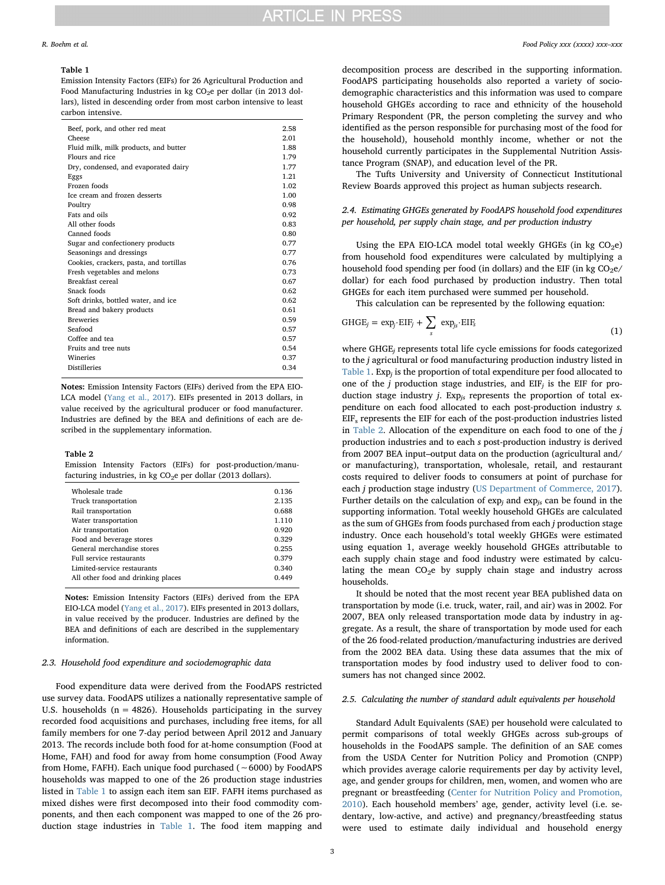#### Table 1

Emission Intensity Factors (EIFs) for 26 Agricultural Production and Food Manufacturing Industries in kg  $CO<sub>2</sub>e$  per dollar (in 2013 dollars), listed in descending order from most carbon intensive to least carbon intensive.

| Beef, pork, and other red meat          | 2.58 |
|-----------------------------------------|------|
| Cheese                                  | 2.01 |
| Fluid milk, milk products, and butter   | 1.88 |
| Flours and rice                         | 1.79 |
| Dry, condensed, and evaporated dairy    | 1.77 |
| Eggs                                    | 1.21 |
| Frozen foods                            | 1.02 |
| Ice cream and frozen desserts           | 1.00 |
| Poultry                                 | 0.98 |
| Fats and oils                           | 0.92 |
| All other foods                         | 0.83 |
| Canned foods                            | 0.80 |
| Sugar and confectionery products        | 0.77 |
| Seasonings and dressings                | 0.77 |
| Cookies, crackers, pasta, and tortillas | 0.76 |
| Fresh vegetables and melons             | 0.73 |
| Breakfast cereal                        | 0.67 |
| Snack foods                             | 0.62 |
| Soft drinks, bottled water, and ice     | 0.62 |
| Bread and bakery products               | 0.61 |
| <b>Breweries</b>                        | 0.59 |
| Seafood                                 | 0.57 |
| Coffee and tea                          | 0.57 |
| Fruits and tree nuts                    | 0.54 |
| Wineries                                | 0.37 |
| <b>Distilleries</b>                     | 0.34 |

Notes: Emission Intensity Factors (EIFs) derived from the EPA EIO-LCA model (Yang et al., 2017). EIFs presented in 2013 dollars, in value received by the agricultural producer or food manufacturer. Industries are defined by the BEA and definitions of each are described in the supplementary information.

### Table 2

Emission Intensity Factors (EIFs) for post-production/manufacturing industries, in kg  $CO<sub>2</sub>e$  per dollar (2013 dollars).

| Wholesale trade                    | 0.136 |
|------------------------------------|-------|
| Truck transportation               | 2.135 |
| Rail transportation                | 0.688 |
| Water transportation               | 1.110 |
| Air transportation                 | 0.920 |
| Food and beverage stores           | 0.329 |
| General merchandise stores         | 0.255 |
| Full service restaurants           | 0.379 |
| Limited-service restaurants        | 0.340 |
| All other food and drinking places | 0.449 |

Notes: Emission Intensity Factors (EIFs) derived from the EPA EIO-LCA model (Yang et al., 2017). EIFs presented in 2013 dollars, in value received by the producer. Industries are defined by the BEA and definitions of each are described in the supplementary information.

# 2.3. Household food expenditure and sociodemographic data

Food expenditure data were derived from the FoodAPS restricted use survey data. FoodAPS utilizes a nationally representative sample of U.S. households ( $n = 4826$ ). Households participating in the survey recorded food acquisitions and purchases, including free items, for all family members for one 7-day period between April 2012 and January 2013. The records include both food for at-home consumption (Food at Home, FAH) and food for away from home consumption (Food Away from Home, FAFH). Each unique food purchased (∼6000) by FoodAPS households was mapped to one of the 26 production stage industries listed in Table 1 to assign each item san EIF. FAFH items purchased as mixed dishes were first decomposed into their food commodity components, and then each component was mapped to one of the 26 production stage industries in Table 1. The food item mapping and

decomposition process are described in the supporting information. FoodAPS participating households also reported a variety of sociodemographic characteristics and this information was used to compare household GHGEs according to race and ethnicity of the household Primary Respondent (PR, the person completing the survey and who identified as the person responsible for purchasing most of the food for the household), household monthly income, whether or not the household currently participates in the Supplemental Nutrition Assistance Program (SNAP), and education level of the PR.

The Tufts University and University of Connecticut Institutional Review Boards approved this project as human subjects research.

# 2.4. Estimating GHGEs generated by FoodAPS household food expenditures per household, per supply chain stage, and per production industry

Using the EPA EIO-LCA model total weekly GHGEs (in kg  $CO<sub>2</sub>e$ ) from household food expenditures were calculated by multiplying a household food spending per food (in dollars) and the EIF (in kg  $CO<sub>2</sub>e$ ) dollar) for each food purchased by production industry. Then total GHGEs for each item purchased were summed per household.

This calculation can be represented by the following equation:

$$
GHGE_j = \exp_j \cdot EIF_j + \sum_s \exp_{js} \cdot EIF_s \tag{1}
$$

where GHGE<sub>i</sub> represents total life cycle emissions for foods categorized to the j agricultural or food manufacturing production industry listed in Table 1. Exp<sub>i</sub> is the proportion of total expenditure per food allocated to one of the j production stage industries, and  $EIF<sub>i</sub>$  is the EIF for production stage industry  $j$ . Exp<sub>js</sub> represents the proportion of total expenditure on each food allocated to each post-production industry s. EIFs represents the EIF for each of the post-production industries listed in Table 2. Allocation of the expenditure on each food to one of the j production industries and to each s post-production industry is derived from 2007 BEA input–output data on the production (agricultural and/ or manufacturing), transportation, wholesale, retail, and restaurant costs required to deliver foods to consumers at point of purchase for each j production stage industry (US Department of Commerce, 2017). Further details on the calculation of  $\exp_i$  and  $\exp_{is}$  can be found in the supporting information. Total weekly household GHGEs are calculated as the sum of GHGEs from foods purchased from each j production stage industry. Once each household's total weekly GHGEs were estimated using equation 1, average weekly household GHGEs attributable to each supply chain stage and food industry were estimated by calculating the mean CO<sub>2</sub>e by supply chain stage and industry across households.

It should be noted that the most recent year BEA published data on transportation by mode (i.e. truck, water, rail, and air) was in 2002. For 2007, BEA only released transportation mode data by industry in aggregate. As a result, the share of transportation by mode used for each of the 26 food-related production/manufacturing industries are derived from the 2002 BEA data. Using these data assumes that the mix of transportation modes by food industry used to deliver food to consumers has not changed since 2002.

### 2.5. Calculating the number of standard adult equivalents per household

Standard Adult Equivalents (SAE) per household were calculated to permit comparisons of total weekly GHGEs across sub-groups of households in the FoodAPS sample. The definition of an SAE comes from the USDA Center for Nutrition Policy and Promotion (CNPP) which provides average calorie requirements per day by activity level, age, and gender groups for children, men, women, and women who are pregnant or breastfeeding (Center for Nutrition Policy and Promotion, 2010). Each household members' age, gender, activity level (i.e. sedentary, low-active, and active) and pregnancy/breastfeeding status were used to estimate daily individual and household energy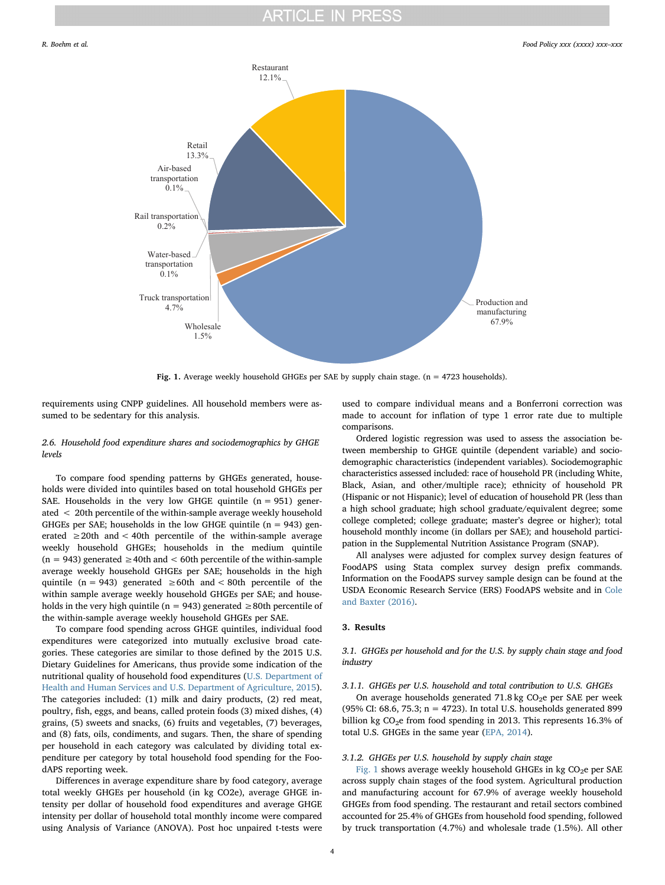

Fig. 1. Average weekly household GHGEs per SAE by supply chain stage. ( $n = 4723$  households).

requirements using CNPP guidelines. All household members were assumed to be sedentary for this analysis.

# 2.6. Household food expenditure shares and sociodemographics by GHGE levels

To compare food spending patterns by GHGEs generated, households were divided into quintiles based on total household GHGEs per SAE. Households in the very low GHGE quintile  $(n = 951)$  generated < 20th percentile of the within-sample average weekly household GHGEs per SAE; households in the low GHGE quintile  $(n = 943)$  generated  $\geq 20$ th and < 40th percentile of the within-sample average weekly household GHGEs; households in the medium quintile  $(n = 943)$  generated  $\geq 40$ th and  $\lt 60$ th percentile of the within-sample average weekly household GHGEs per SAE; households in the high quintile ( $n = 943$ ) generated  $\geq 60$ th and < 80th percentile of the within sample average weekly household GHGEs per SAE; and households in the very high quintile (n = 943) generated  $\geq$  80th percentile of the within-sample average weekly household GHGEs per SAE.

To compare food spending across GHGE quintiles, individual food expenditures were categorized into mutually exclusive broad categories. These categories are similar to those defined by the 2015 U.S. Dietary Guidelines for Americans, thus provide some indication of the nutritional quality of household food expenditures (U.S. Department of Health and Human Services and U.S. Department of Agriculture, 2015). The categories included: (1) milk and dairy products, (2) red meat, poultry, fish, eggs, and beans, called protein foods (3) mixed dishes, (4) grains, (5) sweets and snacks, (6) fruits and vegetables, (7) beverages, and (8) fats, oils, condiments, and sugars. Then, the share of spending per household in each category was calculated by dividing total expenditure per category by total household food spending for the FoodAPS reporting week.

Differences in average expenditure share by food category, average total weekly GHGEs per household (in kg CO2e), average GHGE intensity per dollar of household food expenditures and average GHGE intensity per dollar of household total monthly income were compared using Analysis of Variance (ANOVA). Post hoc unpaired t-tests were used to compare individual means and a Bonferroni correction was made to account for inflation of type 1 error rate due to multiple comparisons.

Ordered logistic regression was used to assess the association between membership to GHGE quintile (dependent variable) and sociodemographic characteristics (independent variables). Sociodemographic characteristics assessed included: race of household PR (including White, Black, Asian, and other/multiple race); ethnicity of household PR (Hispanic or not Hispanic); level of education of household PR (less than a high school graduate; high school graduate/equivalent degree; some college completed; college graduate; master's degree or higher); total household monthly income (in dollars per SAE); and household participation in the Supplemental Nutrition Assistance Program (SNAP).

All analyses were adjusted for complex survey design features of FoodAPS using Stata complex survey design prefix commands. Information on the FoodAPS survey sample design can be found at the USDA Economic Research Service (ERS) FoodAPS website and in Cole and Baxter (2016).

#### 3. Results

## 3.1. GHGEs per household and for the U.S. by supply chain stage and food industry

3.1.1. GHGEs per U.S. household and total contribution to U.S. GHGEs

On average households generated 71.8 kg  $CO<sub>2</sub>e$  per SAE per week (95% CI: 68.6, 75.3; n = 4723). In total U.S. households generated 899 billion kg  $CO<sub>2</sub>e$  from food spending in 2013. This represents 16.3% of total U.S. GHGEs in the same year (EPA, 2014).

#### 3.1.2. GHGEs per U.S. household by supply chain stage

Fig. 1 shows average weekly household GHGEs in kg  $CO<sub>2</sub>e$  per SAE across supply chain stages of the food system. Agricultural production and manufacturing account for 67.9% of average weekly household GHGEs from food spending. The restaurant and retail sectors combined accounted for 25.4% of GHGEs from household food spending, followed by truck transportation (4.7%) and wholesale trade (1.5%). All other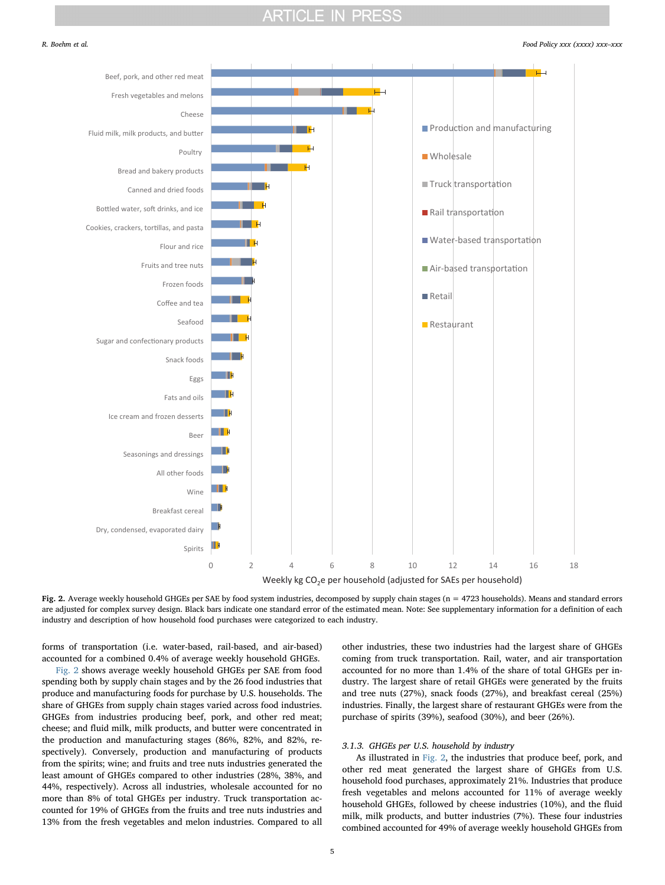

R. Boehm et al. *Food Policy xxx (xxxx) xxx–xxx*



Fig. 2. Average weekly household GHGEs per SAE by food system industries, decomposed by supply chain stages (n = 4723 households). Means and standard errors are adjusted for complex survey design. Black bars indicate one standard error of the estimated mean. Note: See supplementary information for a definition of each industry and description of how household food purchases were categorized to each industry.

forms of transportation (i.e. water-based, rail-based, and air-based) accounted for a combined 0.4% of average weekly household GHGEs.

Fig. 2 shows average weekly household GHGEs per SAE from food spending both by supply chain stages and by the 26 food industries that produce and manufacturing foods for purchase by U.S. households. The share of GHGEs from supply chain stages varied across food industries. GHGEs from industries producing beef, pork, and other red meat; cheese; and fluid milk, milk products, and butter were concentrated in the production and manufacturing stages (86%, 82%, and 82%, respectively). Conversely, production and manufacturing of products from the spirits; wine; and fruits and tree nuts industries generated the least amount of GHGEs compared to other industries (28%, 38%, and 44%, respectively). Across all industries, wholesale accounted for no more than 8% of total GHGEs per industry. Truck transportation accounted for 19% of GHGEs from the fruits and tree nuts industries and 13% from the fresh vegetables and melon industries. Compared to all

other industries, these two industries had the largest share of GHGEs coming from truck transportation. Rail, water, and air transportation accounted for no more than 1.4% of the share of total GHGEs per industry. The largest share of retail GHGEs were generated by the fruits and tree nuts (27%), snack foods (27%), and breakfast cereal (25%) industries. Finally, the largest share of restaurant GHGEs were from the purchase of spirits (39%), seafood (30%), and beer (26%).

## 3.1.3. GHGEs per U.S. household by industry

As illustrated in Fig. 2, the industries that produce beef, pork, and other red meat generated the largest share of GHGEs from U.S. household food purchases, approximately 21%. Industries that produce fresh vegetables and melons accounted for 11% of average weekly household GHGEs, followed by cheese industries (10%), and the fluid milk, milk products, and butter industries (7%). These four industries combined accounted for 49% of average weekly household GHGEs from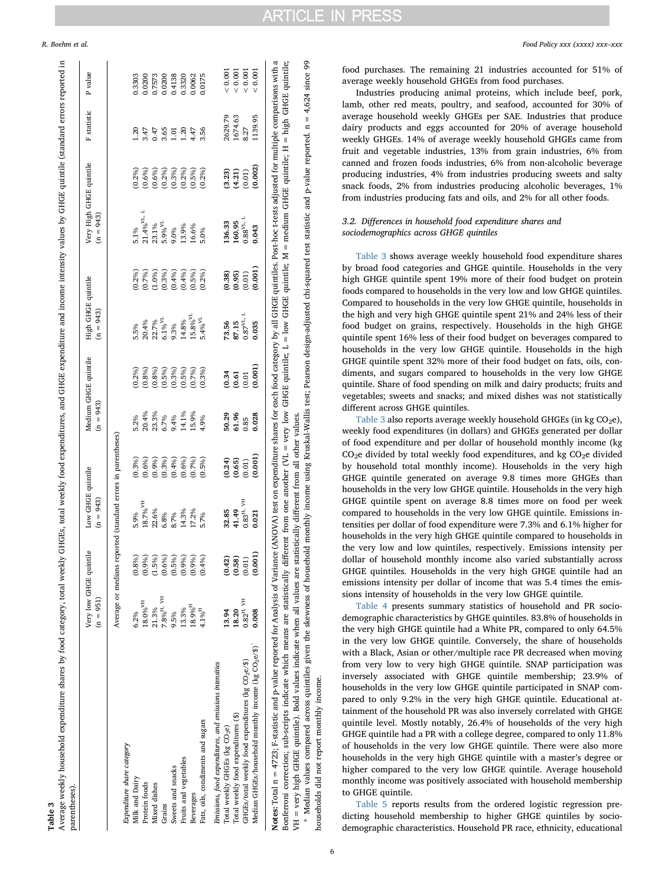|                                                                                                                                                                                                                             | Very low GHGE quintile<br>$(n = 951)$ |           | Low GHGE quintile<br>$(n = 943)$                             |           | $(n = 943)$ | Medium GHGE quintile | High GHGE quintile<br>$(n = 943)$ |           | Very High GHGE quintile<br>$(n = 943)$ |           | F statistic    | P value   |
|-----------------------------------------------------------------------------------------------------------------------------------------------------------------------------------------------------------------------------|---------------------------------------|-----------|--------------------------------------------------------------|-----------|-------------|----------------------|-----------------------------------|-----------|----------------------------------------|-----------|----------------|-----------|
|                                                                                                                                                                                                                             |                                       |           | Average or medians reported (standard errors in parentheses) |           |             |                      |                                   |           |                                        |           |                |           |
| Expenditure share category                                                                                                                                                                                                  |                                       |           |                                                              |           |             |                      |                                   |           |                                        |           |                |           |
| Milk and Dairy                                                                                                                                                                                                              | 6.2%                                  | $(0.8\%)$ | 5.9%                                                         | (0.3%)    | 5.2%        | (0.2%)               | 5.5%                              | $(0.2\%)$ | 5.1%                                   | (0.2%)    | 1.20           | 0.3303    |
| Protein foods                                                                                                                                                                                                               | $18.0\% \ensuremath{\mathrm{^{VH}}}$  | (0.9%)    | $18.7\%$ <sup>VH</sup>                                       | (0.6%)    | 20.4%       | (0.8%)               | 20.4%                             | $(0.7\%)$ | $21.4\%^{\rm VL.~L}$                   | (0.6%)    | 3.47           | 0.0200    |
| Mixed dishes                                                                                                                                                                                                                | 21.3%                                 | (1.5%)    | 22.6%                                                        | (0.9%)    | 23.3%       | (0.8%)               | 22.7%                             | (1.0%)    | 23.1%                                  | (0.6%)    | 0.47           | 0.7573    |
| Grains                                                                                                                                                                                                                      | $7.8\%$ <sup>H, VH</sup>              | $(0.6\%)$ | 6.8%                                                         | (0.3%)    | 6.7%        | $(0.5\%)$            | $6.1\%^{\rm VL}$                  | $(0.3\%)$ | $5.9\%$ <sup>VL</sup>                  | (0.2%)    | 3.65           | 0.0200    |
| Sweets and snacks                                                                                                                                                                                                           | 9.5%                                  | $(0.5\%)$ | 8.7%                                                         | (0.4%)    | 9.4%        | (0.3%)               | 9.3%                              | (0.4%)    | 9.0%                                   | (0.3%)    | 1.01           | 0.4138    |
| Fruits and vegetables                                                                                                                                                                                                       | 13.3%                                 | (0.9%)    | 14.3%                                                        | (0.6%)    | 14.1%       | $(0.5\%)$            | 14.8%                             | (0.4%)    | 13.9%                                  | (0.2%)    | $1.20$<br>4.47 | 0.3320    |
| Beverages                                                                                                                                                                                                                   | $18.9\%^{\rm H}$                      | (0.9%)    | 17.2%                                                        | (0.7%)    | 15.9%       | (0.7%)               | $15.8\% \mathrm{^{VI}}$           | $(0.5\%)$ | 16.6%                                  | $(0.5\%)$ |                | 0.0062    |
| Fats, oils, condiments and sugars                                                                                                                                                                                           | 4.1% <sup>H</sup>                     | (0.4%)    | 5.7%                                                         | $(0.5\%)$ | 4.9%        | (0.3%)               | $5.4\%$ $\mathrm{^{VL}}$          | (0.2%)    | 5.0%                                   | (0.2%)    | 3.56           | 0.0175    |
| Emissions, food expenditures, and emissions intensities                                                                                                                                                                     |                                       |           |                                                              |           |             |                      |                                   |           |                                        |           |                |           |
| Total weekly GHGEs (kg CO <sub>2</sub> e)                                                                                                                                                                                   | 13.94                                 | (0.42)    | 32.85                                                        | (0.24)    | 50.29       |                      | 73.56                             | (0.38)    | 136.33                                 | (3.23)    | 2629.79        | $= 0.001$ |
| Total weekly food expenditures (\$)                                                                                                                                                                                         | 18.20                                 | (0.58)    | 41.49                                                        | (0.65)    | 61.96       | 0.34<br>0.61         | 87.15                             | (0.95)    | 160.95                                 | (4.21)    | 1674.63        | 0.001     |
| GHGEs/total weekly food expenditures (kg CO <sub>2</sub> e/\$)                                                                                                                                                              | $0.82^{\text{H, VI}}$                 | (0.01)    | $0.83^{\mathrm{H,~VH}}$                                      | (0.01)    | 0.85        | (0.01)               | $0.87^{\rm VL\ 1}$                | (0.01)    | $0.88^{\rm VL}$ $^{\rm L}$             | (0.01)    | 8.27           | 0.001     |
| Median GHGEs/household monthly income (kg CO <sub>2</sub> e/\$)                                                                                                                                                             | 0.008                                 | (0.001)   | 0.021                                                        | (0.001)   | 0.028       | (0.001)              | 0.035                             | (0.001)   | 0.043                                  | (0.002)   | 1139.95        | 0.001     |
| Notes: Total n = 4723; F-statistic and p-value reported for Analysis of Variance (ANOVA) test on expenditure shares for each food category by all GHGE quintiles. Post-hoc t-tests adjusted for multiple comparisons with a |                                       |           |                                                              |           |             |                      |                                   |           |                                        |           |                |           |
| Bonferroni correction; sub-scripts indicate which means are statistically different from one another (VL = very low GHGE quintile; L = low GHGE quintile; M = medium GHGE quintile; H = high GHGE quintile;                 |                                       |           |                                                              |           |             |                      |                                   |           |                                        |           |                |           |
| VH = very high GHGE quintile). Bold values indicate when all values are statistically different from all other values                                                                                                       |                                       |           |                                                              |           |             |                      |                                   |           |                                        |           |                |           |
| * Median values compared across quintiles given the skewness of household monthly income using Kruskal-Wallis test; Pearson design-adjusted chi-squared test statistic and p-value reported. n = 4,624 since 99             |                                       |           |                                                              |           |             |                      |                                   |           |                                        |           |                |           |

rable 3

food purchases. The remaining 21 industries accounted for 51% of average weekly household GHGEs from food purchases.

Industries producing animal proteins, which include beef, pork, lamb, other red meats, poultry, and seafood, accounted for 30% of average household weekly GHGEs per SAE. Industries that produce dairy products and eggs accounted for 20% of average household weekly GHGEs. 14% of average weekly household GHGEs came from fruit and vegetable industries, 13% from grain industries, 6% from canned and frozen foods industries, 6% from non-alcoholic beverage producing industries, 4% from industries producing sweets and salty snack foods, 2% from industries producing alcoholic beverages, 1% from industries producing fats and oils, and 2% for all other foods.

# 3.2. Differences in household food expenditure shares and sociodemographics across GHGE quintiles

Table 3 shows average weekly household food expenditure shares by broad food categories and GHGE quintile. Households in the very high GHGE quintile spent 19% more of their food budget on protein foods compared to households in the very low and low GHGE quintiles. Compared to households in the very low GHGE quintile, households in the high and very high GHGE quintile spent 21% and 24% less of their food budget on grains, respectively. Households in the high GHGE quintile spent 16% less of their food budget on beverages compared to households in the very low GHGE quintile. Households in the high GHGE quintile spent 32% more of their food budget on fats, oils, condiments, and sugars compared to households in the very low GHGE quintile. Share of food spending on milk and dairy products; fruits and vegetables; sweets and snacks; and mixed dishes was not statistically different across GHGE quintiles.

Table 3 also reports average weekly household GHGEs (in kg  $CO<sub>2</sub>e$ ), weekly food expenditures (in dollars) and GHGEs generated per dollar of food expenditure and per dollar of household monthly income (kg  $CO<sub>2</sub>e$  divided by total weekly food expenditures, and kg  $CO<sub>2</sub>e$  divided by household total monthly income). Households in the very high GHGE quintile generated on average 9.8 times more GHGEs than households in the very low GHGE quintile. Households in the very high GHGE quintile spent on average 8.8 times more on food per week compared to households in the very low GHGE quintile. Emissions intensities per dollar of food expenditure were 7.3% and 6.1% higher for households in the very high GHGE quintile compared to households in the very low and low quintiles, respectively. Emissions intensity per dollar of household monthly income also varied substantially across GHGE quintiles. Households in the very high GHGE quintile had an emissions intensity per dollar of income that was 5.4 times the emissions intensity of households in the very low GHGE quintile.

Table 4 presents summary statistics of household and PR sociodemographic characteristics by GHGE quintiles. 83.8% of households in the very high GHGE quintile had a White PR, compared to only 64.5% in the very low GHGE quintile. Conversely, the share of households with a Black, Asian or other/multiple race PR decreased when moving from very low to very high GHGE quintile. SNAP participation was inversely associated with GHGE quintile membership; 23.9% of households in the very low GHGE quintile participated in SNAP compared to only 9.2% in the very high GHGE quintile. Educational attainment of the household PR was also inversely correlated with GHGE quintile level. Mostly notably, 26.4% of households of the very high GHGE quintile had a PR with a college degree, compared to only 11.8% of households in the very low GHGE quintile. There were also more households in the very high GHGE quintile with a master's degree or higher compared to the very low GHGE quintile. Average household monthly income was positively associated with household membership to GHGE quintile.

Table 5 reports results from the ordered logistic regression predicting household membership to higher GHGE quintiles by sociodemographic characteristics. Household PR race, ethnicity, educational

6

households did not report monthly income.

households did not report monthly income.

**ARTICLE IN PRESS**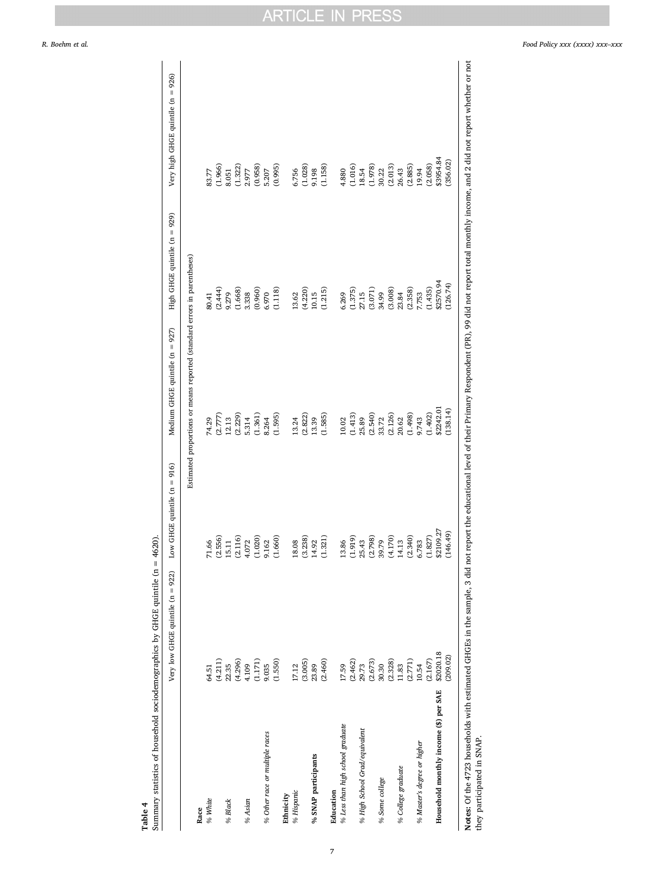| Summary statistics of household sociodemographics by GHGE quintile (n = 4620)<br>Table 4                                                                                                                               |                                    |                               |                                                                          |                                |                                       |                                |
|------------------------------------------------------------------------------------------------------------------------------------------------------------------------------------------------------------------------|------------------------------------|-------------------------------|--------------------------------------------------------------------------|--------------------------------|---------------------------------------|--------------------------------|
|                                                                                                                                                                                                                        | Very low GHGE quintile $(n = 922)$ | Low GHGE quintile $(n = 916)$ | $= 927$<br>Medium GHGE quintile (n                                       | High GHGE quintile $(n = 929)$ | $= 926$<br>Very high GHGE quintile (n |                                |
|                                                                                                                                                                                                                        |                                    |                               | Estimated proportions or means reported (standard errors in parentheses) |                                |                                       |                                |
| $\%$ White<br>Race                                                                                                                                                                                                     | 64.51                              | 71.66                         | 74.29                                                                    | 80.41                          | 83.77                                 |                                |
|                                                                                                                                                                                                                        | (4.211)                            | (2.556)                       | (2.777)                                                                  | (2.444)                        | (1.966)                               |                                |
| $\%$ Black                                                                                                                                                                                                             | 22.35                              | 15.11                         | 12.13                                                                    | 9.279                          | 8.051                                 |                                |
| % Asian                                                                                                                                                                                                                | (4.296)<br>4.109                   | (2.116)<br>4.072              | (2.229)<br>5.314                                                         | (1.668)<br>3.338               | (1.322)<br>2.977                      |                                |
|                                                                                                                                                                                                                        | (1.171)                            | (1.020)                       | (1.361)                                                                  | (0.960)                        | (0.958)                               |                                |
| % Other race or multiple races                                                                                                                                                                                         | 9.035                              | 9.162                         | 8.264                                                                    | 6.970                          | 5.207                                 |                                |
|                                                                                                                                                                                                                        | (1.550)                            | (1.660)                       | (1.595)                                                                  | (1.118)                        | (0.995)                               |                                |
| % Hispanic<br>Ethnicity                                                                                                                                                                                                | 17.12                              | 18.08                         | 13.24                                                                    | 13.62                          | 6.756                                 |                                |
|                                                                                                                                                                                                                        | (3.005)                            | (3.238)                       | (2.822)                                                                  | (4.220)                        |                                       |                                |
| % SNAP participants                                                                                                                                                                                                    | 23.89                              | 14.92                         | 13.39                                                                    | 10.15                          | $(1.028)$<br>9.198<br>(1.158)         |                                |
|                                                                                                                                                                                                                        | (2.460)                            | (1.321)                       | (1.585)                                                                  | (1.215)                        |                                       |                                |
| Education                                                                                                                                                                                                              |                                    |                               |                                                                          |                                |                                       |                                |
| % Less than high school graduate                                                                                                                                                                                       | 17.59                              | 13.86                         | 10.02                                                                    | 6.269                          | 4.880                                 |                                |
|                                                                                                                                                                                                                        | (2.462)                            | (1.919)                       | (1.413)                                                                  | (1.375)                        | (1.016)                               |                                |
| % High School Grad/equivalent                                                                                                                                                                                          | (2.673)<br>29.73                   | (2.798)<br>25.43              | (2.540)<br>25.89                                                         | (3.071)<br>27.15               | (1.978)<br>18.54                      |                                |
| % Some college                                                                                                                                                                                                         | 30.30                              | 39.79                         | 33.72                                                                    | 34.99                          | 30.22                                 |                                |
|                                                                                                                                                                                                                        | (2.328)                            | (4.170)                       | (2.126)                                                                  | (3.008)                        | (2.013)                               |                                |
| % College graduate                                                                                                                                                                                                     | $11.83\,$                          | 14.13                         | 20.62                                                                    | 23.84                          |                                       |                                |
|                                                                                                                                                                                                                        | (2.771)                            | (2.340)                       | (1.498)                                                                  | (2.358)                        | $26.43$<br>$(2.885)$<br>$19.94$       |                                |
| % Master's degree or higher                                                                                                                                                                                            | 10.54                              | 6.783                         | 9.743                                                                    | 7.753                          |                                       |                                |
|                                                                                                                                                                                                                        | (2.167)                            | (1.827)                       | (1.402)                                                                  | (1.435)                        | (2.058)                               |                                |
| Household monthly income (\$) per SAE                                                                                                                                                                                  | \$2020.18<br>(209.02)              | \$2109.27<br>(146.49)         | \$2242.01<br>(138.14)                                                    | \$2570.94<br>(126.74)          | \$3954.84<br>(356.02)                 |                                |
| Notes: Of the 4723 households with estimated GHGEs in the sample, 3 did not report the educational level of their Primary Respondent (PR), 99 did not report total monthly income, and 2 did not report whether or not |                                    |                               |                                                                          |                                |                                       |                                |
| they participated in SNAP.                                                                                                                                                                                             |                                    |                               |                                                                          |                                |                                       |                                |
|                                                                                                                                                                                                                        |                                    |                               |                                                                          |                                |                                       |                                |
|                                                                                                                                                                                                                        |                                    |                               |                                                                          |                                |                                       |                                |
|                                                                                                                                                                                                                        |                                    |                               |                                                                          |                                |                                       |                                |
|                                                                                                                                                                                                                        |                                    |                               |                                                                          |                                |                                       |                                |
|                                                                                                                                                                                                                        |                                    |                               |                                                                          |                                |                                       |                                |
|                                                                                                                                                                                                                        |                                    |                               |                                                                          |                                |                                       |                                |
|                                                                                                                                                                                                                        |                                    |                               |                                                                          |                                |                                       | Food Policy xxx (xxxx) xxx-xxx |
|                                                                                                                                                                                                                        |                                    |                               |                                                                          |                                |                                       |                                |
|                                                                                                                                                                                                                        |                                    |                               |                                                                          |                                |                                       |                                |
|                                                                                                                                                                                                                        |                                    |                               |                                                                          |                                |                                       |                                |

7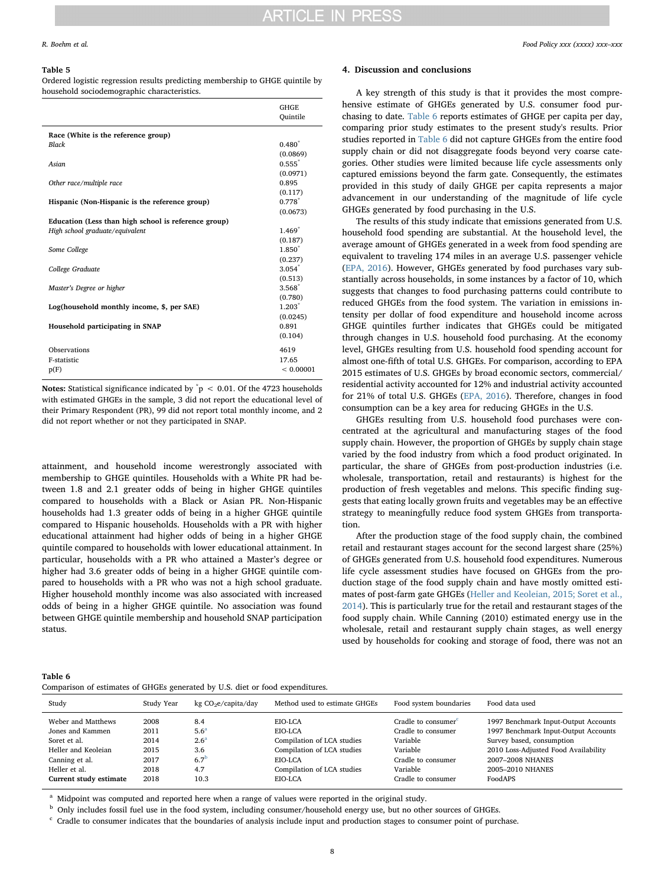#### Table 5

Ordered logistic regression results predicting membership to GHGE quintile by household sociodemographic characteristics.

|                                                      | <b>GHGE</b><br>Ouintile |
|------------------------------------------------------|-------------------------|
| Race (White is the reference group)                  |                         |
| Black                                                | $0.480*$                |
|                                                      | (0.0869)                |
| Asian                                                | $0.555^{*}$             |
|                                                      | (0.0971)                |
| Other race/multiple race                             | 0.895                   |
|                                                      | (0.117)                 |
| Hispanic (Non-Hispanic is the reference group)       | $0.778^{*}$             |
|                                                      | (0.0673)                |
| Education (Less than high school is reference group) |                         |
| High school graduate/equivalent                      | $1.469*$                |
|                                                      | (0.187)                 |
| Some College                                         | 1.850                   |
|                                                      | (0.237)                 |
| College Graduate                                     | $3.054*$                |
|                                                      | (0.513)                 |
| Master's Degree or higher                            | $3.568^{*}$             |
|                                                      | (0.780)                 |
| Log(household monthly income, \$, per SAE)           | $1.203^*$               |
|                                                      | (0.0245)                |
| Household participating in SNAP                      | 0.891                   |
|                                                      | (0.104)                 |
| Observations                                         | 4619                    |
| F-statistic                                          | 17.65                   |
| p(F)                                                 | < 0.00001               |
|                                                      |                         |

**Notes:** Statistical significance indicated by  $\degree$ p < 0.01. Of the 4723 households with estimated GHGEs in the sample, 3 did not report the educational level of their Primary Respondent (PR), 99 did not report total monthly income, and 2 did not report whether or not they participated in SNAP.

attainment, and household income werestrongly associated with membership to GHGE quintiles. Households with a White PR had between 1.8 and 2.1 greater odds of being in higher GHGE quintiles compared to households with a Black or Asian PR. Non-Hispanic households had 1.3 greater odds of being in a higher GHGE quintile compared to Hispanic households. Households with a PR with higher educational attainment had higher odds of being in a higher GHGE quintile compared to households with lower educational attainment. In particular, households with a PR who attained a Master's degree or higher had 3.6 greater odds of being in a higher GHGE quintile compared to households with a PR who was not a high school graduate. Higher household monthly income was also associated with increased odds of being in a higher GHGE quintile. No association was found between GHGE quintile membership and household SNAP participation status.

#### 4. Discussion and conclusions

A key strength of this study is that it provides the most comprehensive estimate of GHGEs generated by U.S. consumer food purchasing to date. Table 6 reports estimates of GHGE per capita per day, comparing prior study estimates to the present study's results. Prior studies reported in Table 6 did not capture GHGEs from the entire food supply chain or did not disaggregate foods beyond very coarse categories. Other studies were limited because life cycle assessments only captured emissions beyond the farm gate. Consequently, the estimates provided in this study of daily GHGE per capita represents a major advancement in our understanding of the magnitude of life cycle GHGEs generated by food purchasing in the U.S.

The results of this study indicate that emissions generated from U.S. household food spending are substantial. At the household level, the average amount of GHGEs generated in a week from food spending are equivalent to traveling 174 miles in an average U.S. passenger vehicle (EPA, 2016). However, GHGEs generated by food purchases vary substantially across households, in some instances by a factor of 10, which suggests that changes to food purchasing patterns could contribute to reduced GHGEs from the food system. The variation in emissions intensity per dollar of food expenditure and household income across GHGE quintiles further indicates that GHGEs could be mitigated through changes in U.S. household food purchasing. At the economy level, GHGEs resulting from U.S. household food spending account for almost one-fifth of total U.S. GHGEs. For comparison, according to EPA 2015 estimates of U.S. GHGEs by broad economic sectors, commercial/ residential activity accounted for 12% and industrial activity accounted for 21% of total U.S. GHGEs (EPA, 2016). Therefore, changes in food consumption can be a key area for reducing GHGEs in the U.S.

GHGEs resulting from U.S. household food purchases were concentrated at the agricultural and manufacturing stages of the food supply chain. However, the proportion of GHGEs by supply chain stage varied by the food industry from which a food product originated. In particular, the share of GHGEs from post-production industries (i.e. wholesale, transportation, retail and restaurants) is highest for the production of fresh vegetables and melons. This specific finding suggests that eating locally grown fruits and vegetables may be an effective strategy to meaningfully reduce food system GHGEs from transportation.

After the production stage of the food supply chain, the combined retail and restaurant stages account for the second largest share (25%) of GHGEs generated from U.S. household food expenditures. Numerous life cycle assessment studies have focused on GHGEs from the production stage of the food supply chain and have mostly omitted estimates of post-farm gate GHGEs (Heller and Keoleian, 2015; Soret et al., 2014). This is particularly true for the retail and restaurant stages of the food supply chain. While Canning (2010) estimated energy use in the wholesale, retail and restaurant supply chain stages, as well energy used by households for cooking and storage of food, there was not an

| Table 6 |                                                                               |  |  |  |  |
|---------|-------------------------------------------------------------------------------|--|--|--|--|
|         | Comparison of estimates of GHGEs generated by U.S. diet or food expenditures. |  |  |  |  |

| Food system boundaries<br>Method used to estimate GHGEs<br>kg $CO2e/capita/day$<br>Food data used<br>Study<br>Study Year<br>Weber and Matthews<br>2008<br>Cradle to consumer <sup>c</sup><br>EIO-LCA<br>8.4<br>5.6 <sup>a</sup><br>Jones and Kammen<br>2011<br>EIO-LCA<br>Cradle to consumer<br>2.6 <sup>a</sup><br>Compilation of LCA studies<br>Survey based, consumption<br>Variable<br>Soret et al.<br>2014<br>Compilation of LCA studies<br>2010 Loss-Adjusted Food Availability<br>Heller and Keoleian<br>Variable<br>2015<br>3.6<br>6.7 <sup>b</sup><br>2007-2008 NHANES<br>Canning et al.<br>Cradle to consumer<br>2017<br>EIO-LCA<br>Heller et al.<br>Compilation of LCA studies<br>Variable<br>2005-2010 NHANES<br>2018<br>4.7<br>Current study estimate<br>FoodAPS<br>2018<br>10.3<br>Cradle to consumer<br>EIO-LCA |  |  |                                                                              |
|--------------------------------------------------------------------------------------------------------------------------------------------------------------------------------------------------------------------------------------------------------------------------------------------------------------------------------------------------------------------------------------------------------------------------------------------------------------------------------------------------------------------------------------------------------------------------------------------------------------------------------------------------------------------------------------------------------------------------------------------------------------------------------------------------------------------------------|--|--|------------------------------------------------------------------------------|
|                                                                                                                                                                                                                                                                                                                                                                                                                                                                                                                                                                                                                                                                                                                                                                                                                                |  |  |                                                                              |
|                                                                                                                                                                                                                                                                                                                                                                                                                                                                                                                                                                                                                                                                                                                                                                                                                                |  |  | 1997 Benchmark Input-Output Accounts<br>1997 Benchmark Input-Output Accounts |
|                                                                                                                                                                                                                                                                                                                                                                                                                                                                                                                                                                                                                                                                                                                                                                                                                                |  |  |                                                                              |

<sup>a</sup> Midpoint was computed and reported here when a range of values were reported in the original study.

<sup>b</sup> Only includes fossil fuel use in the food system, including consumer/household energy use, but no other sources of GHGEs.

<sup>c</sup> Cradle to consumer indicates that the boundaries of analysis include input and production stages to consumer point of purchase.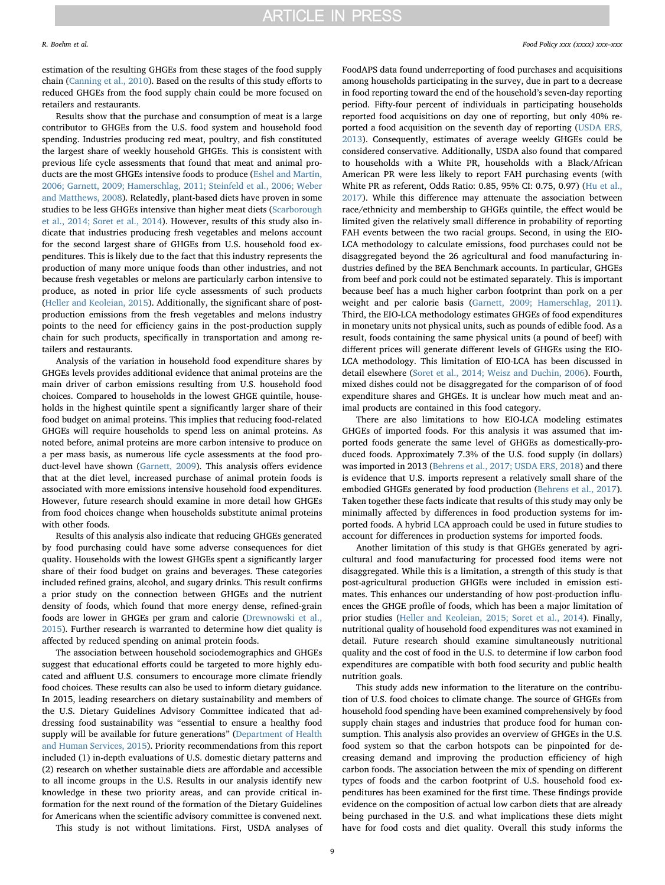estimation of the resulting GHGEs from these stages of the food supply chain (Canning et al., 2010). Based on the results of this study efforts to reduced GHGEs from the food supply chain could be more focused on retailers and restaurants.

Results show that the purchase and consumption of meat is a large contributor to GHGEs from the U.S. food system and household food spending. Industries producing red meat, poultry, and fish constituted the largest share of weekly household GHGEs. This is consistent with previous life cycle assessments that found that meat and animal products are the most GHGEs intensive foods to produce (Eshel and Martin, 2006; Garnett, 2009; Hamerschlag, 2011; Steinfeld et al., 2006; Weber and Matthews, 2008). Relatedly, plant-based diets have proven in some studies to be less GHGEs intensive than higher meat diets (Scarborough et al., 2014; Soret et al., 2014). However, results of this study also indicate that industries producing fresh vegetables and melons account for the second largest share of GHGEs from U.S. household food expenditures. This is likely due to the fact that this industry represents the production of many more unique foods than other industries, and not because fresh vegetables or melons are particularly carbon intensive to produce, as noted in prior life cycle assessments of such products (Heller and Keoleian, 2015). Additionally, the significant share of postproduction emissions from the fresh vegetables and melons industry points to the need for efficiency gains in the post-production supply chain for such products, specifically in transportation and among retailers and restaurants.

Analysis of the variation in household food expenditure shares by GHGEs levels provides additional evidence that animal proteins are the main driver of carbon emissions resulting from U.S. household food choices. Compared to households in the lowest GHGE quintile, households in the highest quintile spent a significantly larger share of their food budget on animal proteins. This implies that reducing food-related GHGEs will require households to spend less on animal proteins. As noted before, animal proteins are more carbon intensive to produce on a per mass basis, as numerous life cycle assessments at the food product-level have shown (Garnett, 2009). This analysis offers evidence that at the diet level, increased purchase of animal protein foods is associated with more emissions intensive household food expenditures. However, future research should examine in more detail how GHGEs from food choices change when households substitute animal proteins with other foods.

Results of this analysis also indicate that reducing GHGEs generated by food purchasing could have some adverse consequences for diet quality. Households with the lowest GHGEs spent a significantly larger share of their food budget on grains and beverages. These categories included refined grains, alcohol, and sugary drinks. This result confirms a prior study on the connection between GHGEs and the nutrient density of foods, which found that more energy dense, refined-grain foods are lower in GHGEs per gram and calorie (Drewnowski et al., 2015). Further research is warranted to determine how diet quality is affected by reduced spending on animal protein foods.

The association between household sociodemographics and GHGEs suggest that educational efforts could be targeted to more highly educated and affluent U.S. consumers to encourage more climate friendly food choices. These results can also be used to inform dietary guidance. In 2015, leading researchers on dietary sustainability and members of the U.S. Dietary Guidelines Advisory Committee indicated that addressing food sustainability was "essential to ensure a healthy food supply will be available for future generations" (Department of Health and Human Services, 2015). Priority recommendations from this report included (1) in-depth evaluations of U.S. domestic dietary patterns and (2) research on whether sustainable diets are affordable and accessible to all income groups in the U.S. Results in our analysis identify new knowledge in these two priority areas, and can provide critical information for the next round of the formation of the Dietary Guidelines for Americans when the scientific advisory committee is convened next.

FoodAPS data found underreporting of food purchases and acquisitions among households participating in the survey, due in part to a decrease in food reporting toward the end of the household's seven-day reporting period. Fifty-four percent of individuals in participating households reported food acquisitions on day one of reporting, but only 40% reported a food acquisition on the seventh day of reporting (USDA ERS, 2013). Consequently, estimates of average weekly GHGEs could be considered conservative. Additionally, USDA also found that compared to households with a White PR, households with a Black/African American PR were less likely to report FAH purchasing events (with White PR as referent, Odds Ratio: 0.85, 95% CI: 0.75, 0.97) (Hu et al., 2017). While this difference may attenuate the association between race/ethnicity and membership to GHGEs quintile, the effect would be limited given the relatively small difference in probability of reporting FAH events between the two racial groups. Second, in using the EIO-LCA methodology to calculate emissions, food purchases could not be disaggregated beyond the 26 agricultural and food manufacturing industries defined by the BEA Benchmark accounts. In particular, GHGEs from beef and pork could not be estimated separately. This is important because beef has a much higher carbon footprint than pork on a per weight and per calorie basis (Garnett, 2009; Hamerschlag, 2011). Third, the EIO-LCA methodology estimates GHGEs of food expenditures in monetary units not physical units, such as pounds of edible food. As a result, foods containing the same physical units (a pound of beef) with different prices will generate different levels of GHGEs using the EIO-LCA methodology. This limitation of EIO-LCA has been discussed in detail elsewhere (Soret et al., 2014; Weisz and Duchin, 2006). Fourth, mixed dishes could not be disaggregated for the comparison of of food expenditure shares and GHGEs. It is unclear how much meat and animal products are contained in this food category.

There are also limitations to how EIO-LCA modeling estimates GHGEs of imported foods. For this analysis it was assumed that imported foods generate the same level of GHGEs as domestically-produced foods. Approximately 7.3% of the U.S. food supply (in dollars) was imported in 2013 (Behrens et al., 2017; USDA ERS, 2018) and there is evidence that U.S. imports represent a relatively small share of the embodied GHGEs generated by food production (Behrens et al., 2017). Taken together these facts indicate that results of this study may only be minimally affected by differences in food production systems for imported foods. A hybrid LCA approach could be used in future studies to account for differences in production systems for imported foods.

Another limitation of this study is that GHGEs generated by agricultural and food manufacturing for processed food items were not disaggregated. While this is a limitation, a strength of this study is that post-agricultural production GHGEs were included in emission estimates. This enhances our understanding of how post-production influences the GHGE profile of foods, which has been a major limitation of prior studies (Heller and Keoleian, 2015; Soret et al., 2014). Finally, nutritional quality of household food expenditures was not examined in detail. Future research should examine simultaneously nutritional quality and the cost of food in the U.S. to determine if low carbon food expenditures are compatible with both food security and public health nutrition goals.

This study adds new information to the literature on the contribution of U.S. food choices to climate change. The source of GHGEs from household food spending have been examined comprehensively by food supply chain stages and industries that produce food for human consumption. This analysis also provides an overview of GHGEs in the U.S. food system so that the carbon hotspots can be pinpointed for decreasing demand and improving the production efficiency of high carbon foods. The association between the mix of spending on different types of foods and the carbon footprint of U.S. household food expenditures has been examined for the first time. These findings provide evidence on the composition of actual low carbon diets that are already being purchased in the U.S. and what implications these diets might have for food costs and diet quality. Overall this study informs the

This study is not without limitations. First, USDA analyses of